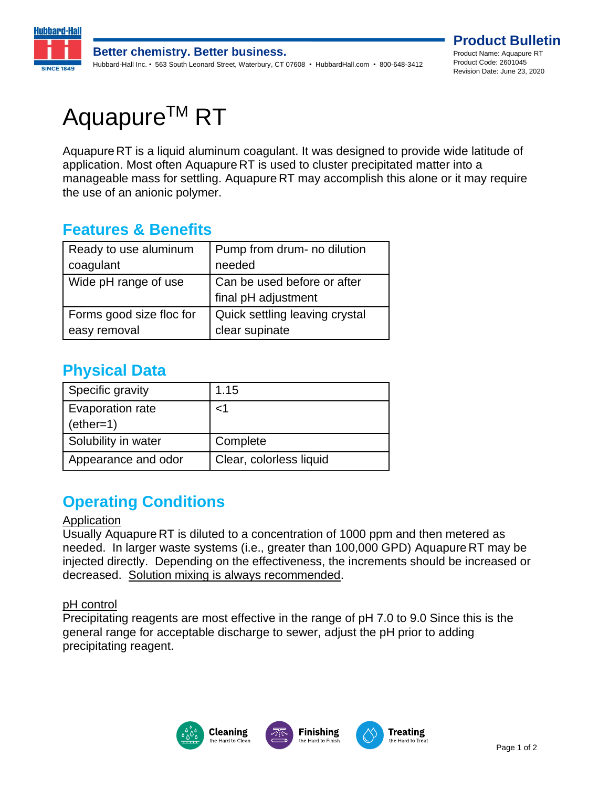

# Aquapure<sup>™</sup> RT

Aquapure RT is a liquid aluminum coagulant. It was designed to provide wide latitude of application. Most often Aquapure RT is used to cluster precipitated matter into a manageable mass for settling. Aquapure RT may accomplish this alone or it may require the use of an anionic polymer.

## **Features & Benefits**

| Ready to use aluminum    | Pump from drum- no dilution                        |
|--------------------------|----------------------------------------------------|
| coagulant                | needed                                             |
| Wide pH range of use     | Can be used before or after<br>final pH adjustment |
| Forms good size floc for | Quick settling leaving crystal                     |
| easy removal             | clear supinate                                     |

## **Physical Data**

| Specific gravity                       | 1.15                    |
|----------------------------------------|-------------------------|
| <b>Evaporation rate</b><br>$(ether=1)$ | ا>                      |
| Solubility in water                    | Complete                |
| Appearance and odor                    | Clear, colorless liquid |

## **Operating Conditions**

### Application

Usually Aquapure RT is diluted to a concentration of 1000 ppm and then metered as needed. In larger waste systems (i.e., greater than 100,000 GPD) Aquapure RT may be injected directly. Depending on the effectiveness, the increments should be increased or decreased. Solution mixing is always recommended.

### pH control

Precipitating reagents are most effective in the range of pH 7.0 to 9.0 Since this is the general range for acceptable discharge to sewer, adjust the pH prior to adding precipitating reagent.